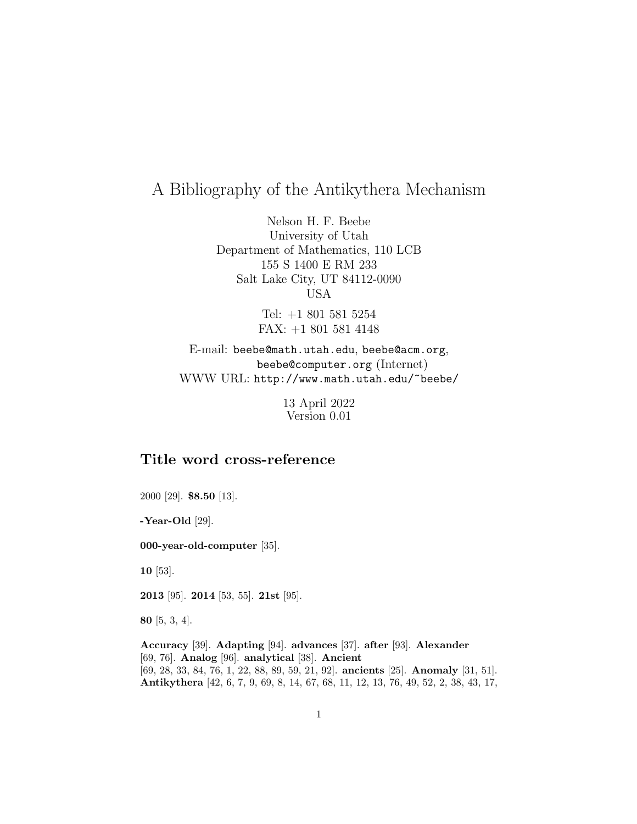# A Bibliography of the Antikythera Mechanism

Nelson H. F. Beebe University of Utah Department of Mathematics, 110 LCB 155 S 1400 E RM 233 Salt Lake City, UT 84112-0090 USA

> Tel: +1 801 581 5254 FAX: +1 801 581 4148

E-mail: beebe@math.utah.edu, beebe@acm.org, beebe@computer.org (Internet) WWW URL: http://www.math.utah.edu/~beebe/

> 13 April 2022 Version 0.01

## **Title word cross-reference**

2000 [29]. **\$8.50** [13].

**-Year-Old** [29].

**000-year-old-computer** [35].

**10** [53].

**2013** [95]. **2014** [53, 55]. **21st** [95].

**80** [5, 3, 4].

**Accuracy** [39]. **Adapting** [94]. **advances** [37]. **after** [93]. **Alexander** [69, 76]. **Analog** [96]. **analytical** [38]. **Ancient** [69, 28, 33, 84, 76, 1, 22, 88, 89, 59, 21, 92]. **ancients** [25]. **Anomaly** [31, 51]. **Antikythera** [42, 6, 7, 9, 69, 8, 14, 67, 68, 11, 12, 13, 76, 49, 52, 2, 38, 43, 17,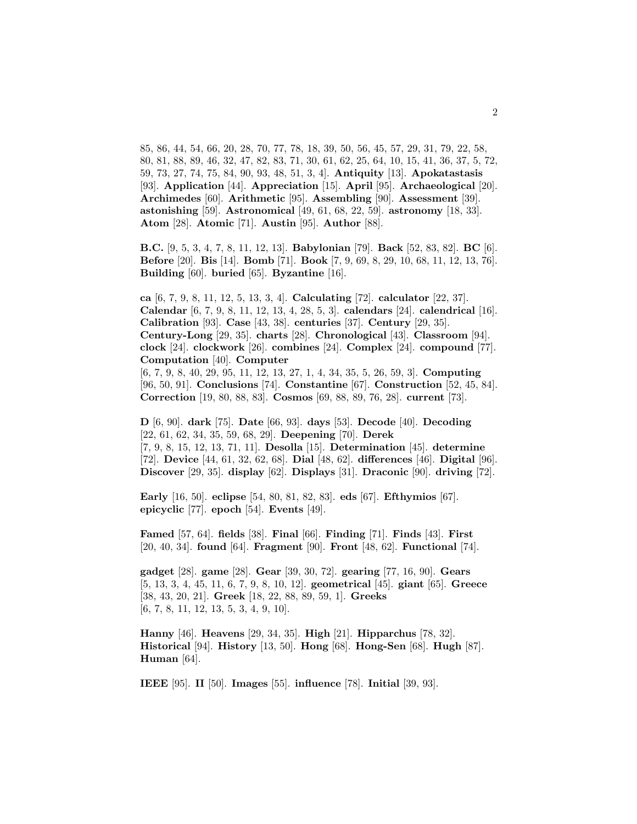85, 86, 44, 54, 66, 20, 28, 70, 77, 78, 18, 39, 50, 56, 45, 57, 29, 31, 79, 22, 58, 80, 81, 88, 89, 46, 32, 47, 82, 83, 71, 30, 61, 62, 25, 64, 10, 15, 41, 36, 37, 5, 72, 59, 73, 27, 74, 75, 84, 90, 93, 48, 51, 3, 4]. **Antiquity** [13]. **Apokatastasis** [93]. **Application** [44]. **Appreciation** [15]. **April** [95]. **Archaeological** [20]. **Archimedes** [60]. **Arithmetic** [95]. **Assembling** [90]. **Assessment** [39]. **astonishing** [59]. **Astronomical** [49, 61, 68, 22, 59]. **astronomy** [18, 33]. **Atom** [28]. **Atomic** [71]. **Austin** [95]. **Author** [88].

**B.C.** [9, 5, 3, 4, 7, 8, 11, 12, 13]. **Babylonian** [79]. **Back** [52, 83, 82]. **BC** [6]. **Before** [20]. **Bis** [14]. **Bomb** [71]. **Book** [7, 9, 69, 8, 29, 10, 68, 11, 12, 13, 76]. **Building** [60]. **buried** [65]. **Byzantine** [16].

**ca** [6, 7, 9, 8, 11, 12, 5, 13, 3, 4]. **Calculating** [72]. **calculator** [22, 37]. **Calendar** [6, 7, 9, 8, 11, 12, 13, 4, 28, 5, 3]. **calendars** [24]. **calendrical** [16]. **Calibration** [93]. **Case** [43, 38]. **centuries** [37]. **Century** [29, 35]. **Century-Long** [29, 35]. **charts** [28]. **Chronological** [43]. **Classroom** [94]. **clock** [24]. **clockwork** [26]. **combines** [24]. **Complex** [24]. **compound** [77]. **Computation** [40]. **Computer** [6, 7, 9, 8, 40, 29, 95, 11, 12, 13, 27, 1, 4, 34, 35, 5, 26, 59, 3]. **Computing**

[96, 50, 91]. **Conclusions** [74]. **Constantine** [67]. **Construction** [52, 45, 84]. **Correction** [19, 80, 88, 83]. **Cosmos** [69, 88, 89, 76, 28]. **current** [73].

**D** [6, 90]. **dark** [75]. **Date** [66, 93]. **days** [53]. **Decode** [40]. **Decoding** [22, 61, 62, 34, 35, 59, 68, 29]. **Deepening** [70]. **Derek** [7, 9, 8, 15, 12, 13, 71, 11]. **Desolla** [15]. **Determination** [45]. **determine** [72]. **Device** [44, 61, 32, 62, 68]. **Dial** [48, 62]. **differences** [46]. **Digital** [96]. **Discover** [29, 35]. **display** [62]. **Displays** [31]. **Draconic** [90]. **driving** [72].

**Early** [16, 50]. **eclipse** [54, 80, 81, 82, 83]. **eds** [67]. **Efthymios** [67]. **epicyclic** [77]. **epoch** [54]. **Events** [49].

**Famed** [57, 64]. **fields** [38]. **Final** [66]. **Finding** [71]. **Finds** [43]. **First** [20, 40, 34]. **found** [64]. **Fragment** [90]. **Front** [48, 62]. **Functional** [74].

**gadget** [28]. **game** [28]. **Gear** [39, 30, 72]. **gearing** [77, 16, 90]. **Gears** [5, 13, 3, 4, 45, 11, 6, 7, 9, 8, 10, 12]. **geometrical** [45]. **giant** [65]. **Greece** [38, 43, 20, 21]. **Greek** [18, 22, 88, 89, 59, 1]. **Greeks** [6, 7, 8, 11, 12, 13, 5, 3, 4, 9, 10].

**Hanny** [46]. **Heavens** [29, 34, 35]. **High** [21]. **Hipparchus** [78, 32]. **Historical** [94]. **History** [13, 50]. **Hong** [68]. **Hong-Sen** [68]. **Hugh** [87]. **Human** [64].

**IEEE** [95]. **II** [50]. **Images** [55]. **influence** [78]. **Initial** [39, 93].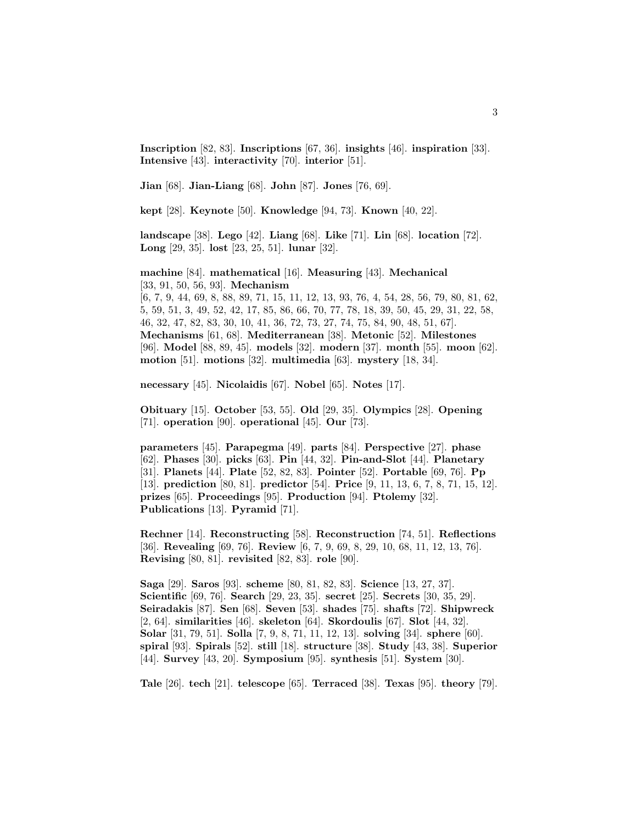**Inscription** [82, 83]. **Inscriptions** [67, 36]. **insights** [46]. **inspiration** [33]. **Intensive** [43]. **interactivity** [70]. **interior** [51].

**Jian** [68]. **Jian-Liang** [68]. **John** [87]. **Jones** [76, 69].

**kept** [28]. **Keynote** [50]. **Knowledge** [94, 73]. **Known** [40, 22].

**landscape** [38]. **Lego** [42]. **Liang** [68]. **Like** [71]. **Lin** [68]. **location** [72]. **Long** [29, 35]. **lost** [23, 25, 51]. **lunar** [32].

**machine** [84]. **mathematical** [16]. **Measuring** [43]. **Mechanical** [33, 91, 50, 56, 93]. **Mechanism**

[6, 7, 9, 44, 69, 8, 88, 89, 71, 15, 11, 12, 13, 93, 76, 4, 54, 28, 56, 79, 80, 81, 62, 5, 59, 51, 3, 49, 52, 42, 17, 85, 86, 66, 70, 77, 78, 18, 39, 50, 45, 29, 31, 22, 58, 46, 32, 47, 82, 83, 30, 10, 41, 36, 72, 73, 27, 74, 75, 84, 90, 48, 51, 67]. **Mechanisms** [61, 68]. **Mediterranean** [38]. **Metonic** [52]. **Milestones** [96]. **Model** [88, 89, 45]. **models** [32]. **modern** [37]. **month** [55]. **moon** [62]. **motion** [51]. **motions** [32]. **multimedia** [63]. **mystery** [18, 34].

**necessary** [45]. **Nicolaidis** [67]. **Nobel** [65]. **Notes** [17].

**Obituary** [15]. **October** [53, 55]. **Old** [29, 35]. **Olympics** [28]. **Opening** [71]. **operation** [90]. **operational** [45]. **Our** [73].

**parameters** [45]. **Parapegma** [49]. **parts** [84]. **Perspective** [27]. **phase** [62]. **Phases** [30]. **picks** [63]. **Pin** [44, 32]. **Pin-and-Slot** [44]. **Planetary** [31]. **Planets** [44]. **Plate** [52, 82, 83]. **Pointer** [52]. **Portable** [69, 76]. **Pp** [13]. **prediction** [80, 81]. **predictor** [54]. **Price** [9, 11, 13, 6, 7, 8, 71, 15, 12]. **prizes** [65]. **Proceedings** [95]. **Production** [94]. **Ptolemy** [32]. **Publications** [13]. **Pyramid** [71].

**Rechner** [14]. **Reconstructing** [58]. **Reconstruction** [74, 51]. **Reflections** [36]. **Revealing** [69, 76]. **Review** [6, 7, 9, 69, 8, 29, 10, 68, 11, 12, 13, 76]. **Revising** [80, 81]. **revisited** [82, 83]. **role** [90].

**Saga** [29]. **Saros** [93]. **scheme** [80, 81, 82, 83]. **Science** [13, 27, 37]. **Scientific** [69, 76]. **Search** [29, 23, 35]. **secret** [25]. **Secrets** [30, 35, 29]. **Seiradakis** [87]. **Sen** [68]. **Seven** [53]. **shades** [75]. **shafts** [72]. **Shipwreck** [2, 64]. **similarities** [46]. **skeleton** [64]. **Skordoulis** [67]. **Slot** [44, 32]. **Solar** [31, 79, 51]. **Solla** [7, 9, 8, 71, 11, 12, 13]. **solving** [34]. **sphere** [60]. **spiral** [93]. **Spirals** [52]. **still** [18]. **structure** [38]. **Study** [43, 38]. **Superior** [44]. **Survey** [43, 20]. **Symposium** [95]. **synthesis** [51]. **System** [30].

**Tale** [26]. **tech** [21]. **telescope** [65]. **Terraced** [38]. **Texas** [95]. **theory** [79].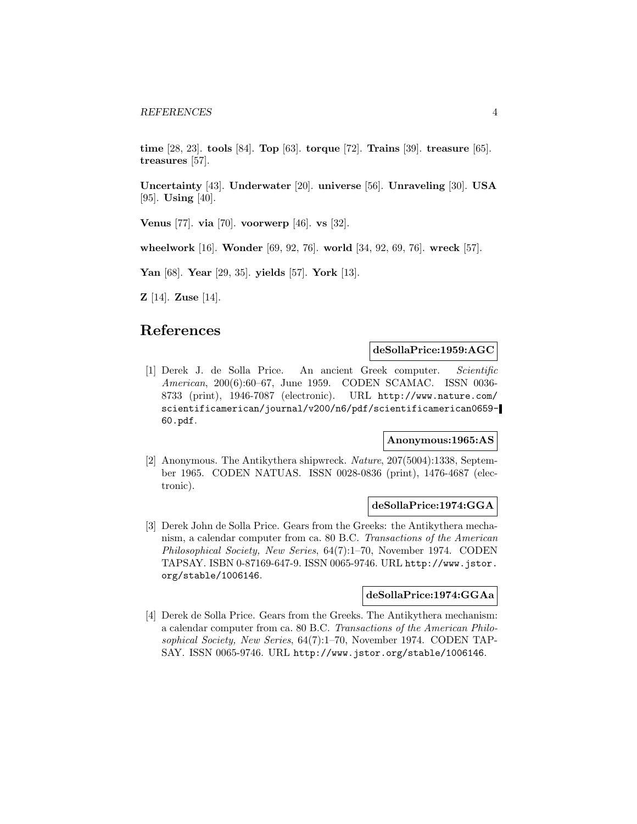**time** [28, 23]. **tools** [84]. **Top** [63]. **torque** [72]. **Trains** [39]. **treasure** [65]. **treasures** [57].

**Uncertainty** [43]. **Underwater** [20]. **universe** [56]. **Unraveling** [30]. **USA** [95]. **Using** [40].

**Venus** [77]. **via** [70]. **voorwerp** [46]. **vs** [32].

**wheelwork** [16]. **Wonder** [69, 92, 76]. **world** [34, 92, 69, 76]. **wreck** [57].

**Yan** [68]. **Year** [29, 35]. **yields** [57]. **York** [13].

**Z** [14]. **Zuse** [14].

## **References**

**deSollaPrice:1959:AGC**

[1] Derek J. de Solla Price. An ancient Greek computer. Scientific American, 200(6):60–67, June 1959. CODEN SCAMAC. ISSN 0036- 8733 (print), 1946-7087 (electronic). URL http://www.nature.com/ scientificamerican/journal/v200/n6/pdf/scientificamerican0659- 60.pdf.

#### **Anonymous:1965:AS**

[2] Anonymous. The Antikythera shipwreck. Nature, 207(5004):1338, September 1965. CODEN NATUAS. ISSN 0028-0836 (print), 1476-4687 (electronic).

### **deSollaPrice:1974:GGA**

[3] Derek John de Solla Price. Gears from the Greeks: the Antikythera mechanism, a calendar computer from ca. 80 B.C. Transactions of the American Philosophical Society, New Series, 64(7):1–70, November 1974. CODEN TAPSAY. ISBN 0-87169-647-9. ISSN 0065-9746. URL http://www.jstor. org/stable/1006146.

#### **deSollaPrice:1974:GGAa**

[4] Derek de Solla Price. Gears from the Greeks. The Antikythera mechanism: a calendar computer from ca. 80 B.C. Transactions of the American Philosophical Society, New Series, 64(7):1–70, November 1974. CODEN TAP-SAY. ISSN 0065-9746. URL http://www.jstor.org/stable/1006146.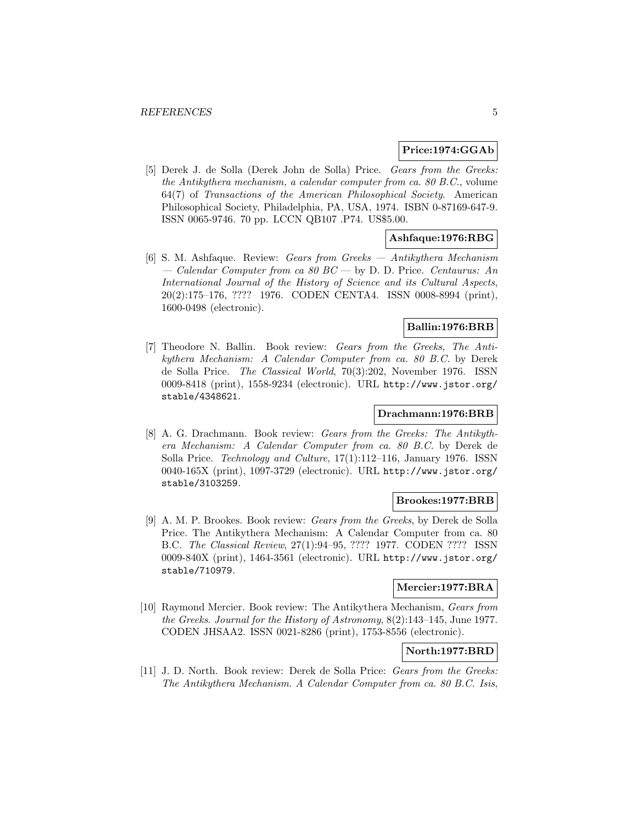### **Price:1974:GGAb**

[5] Derek J. de Solla (Derek John de Solla) Price. Gears from the Greeks: the Antikythera mechanism, a calendar computer from ca. 80 B.C., volume 64(7) of Transactions of the American Philosophical Society. American Philosophical Society, Philadelphia, PA, USA, 1974. ISBN 0-87169-647-9. ISSN 0065-9746. 70 pp. LCCN QB107 .P74. US\$5.00.

### **Ashfaque:1976:RBG**

[6] S. M. Ashfaque. Review: Gears from Greeks — Antikythera Mechanism — Calendar Computer from ca 80 BC — by D. D. Price. Centaurus: An International Journal of the History of Science and its Cultural Aspects, 20(2):175–176, ???? 1976. CODEN CENTA4. ISSN 0008-8994 (print), 1600-0498 (electronic).

### **Ballin:1976:BRB**

[7] Theodore N. Ballin. Book review: Gears from the Greeks, The Antikythera Mechanism: A Calendar Computer from ca. 80 B.C. by Derek de Solla Price. The Classical World, 70(3):202, November 1976. ISSN 0009-8418 (print), 1558-9234 (electronic). URL http://www.jstor.org/ stable/4348621.

### **Drachmann:1976:BRB**

[8] A. G. Drachmann. Book review: Gears from the Greeks: The Antikythera Mechanism: A Calendar Computer from ca. 80 B.C. by Derek de Solla Price. Technology and Culture, 17(1):112–116, January 1976. ISSN 0040-165X (print), 1097-3729 (electronic). URL http://www.jstor.org/ stable/3103259.

### **Brookes:1977:BRB**

[9] A. M. P. Brookes. Book review: Gears from the Greeks, by Derek de Solla Price. The Antikythera Mechanism: A Calendar Computer from ca. 80 B.C. The Classical Review, 27(1):94–95, ???? 1977. CODEN ???? ISSN 0009-840X (print), 1464-3561 (electronic). URL http://www.jstor.org/ stable/710979.

### **Mercier:1977:BRA**

[10] Raymond Mercier. Book review: The Antikythera Mechanism, Gears from the Greeks. Journal for the History of Astronomy, 8(2):143–145, June 1977. CODEN JHSAA2. ISSN 0021-8286 (print), 1753-8556 (electronic).

### **North:1977:BRD**

[11] J. D. North. Book review: Derek de Solla Price: Gears from the Greeks: The Antikythera Mechanism. A Calendar Computer from ca. 80 B.C. Isis,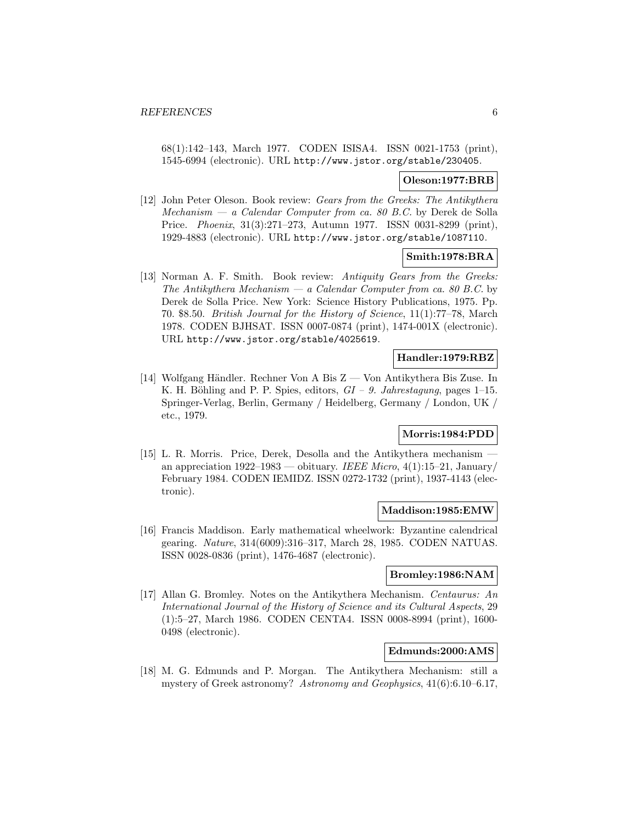68(1):142–143, March 1977. CODEN ISISA4. ISSN 0021-1753 (print), 1545-6994 (electronic). URL http://www.jstor.org/stable/230405.

### **Oleson:1977:BRB**

[12] John Peter Oleson. Book review: Gears from the Greeks: The Antikythera  $Mechanism - a Calendar Computer from ca. 80 B.C.$  by Derek de Solla Price. Phoenix, 31(3):271–273, Autumn 1977. ISSN 0031-8299 (print), 1929-4883 (electronic). URL http://www.jstor.org/stable/1087110.

### **Smith:1978:BRA**

[13] Norman A. F. Smith. Book review: Antiquity Gears from the Greeks: The Antikythera Mechanism — a Calendar Computer from ca. 80 B.C. by Derek de Solla Price. New York: Science History Publications, 1975. Pp. 70. \$8.50. British Journal for the History of Science, 11(1):77–78, March 1978. CODEN BJHSAT. ISSN 0007-0874 (print), 1474-001X (electronic). URL http://www.jstor.org/stable/4025619.

### **Handler:1979:RBZ**

[14] Wolfgang Händler. Rechner Von A Bis  $Z$  — Von Antikythera Bis Zuse. In K. H. Böhling and P. P. Spies, editors,  $GI - 9$ . Jahrestagung, pages 1–15. Springer-Verlag, Berlin, Germany / Heidelberg, Germany / London, UK / etc., 1979.

### **Morris:1984:PDD**

[15] L. R. Morris. Price, Derek, Desolla and the Antikythera mechanism an appreciation  $1922-1983$  — obituary. IEEE Micro,  $4(1):15-21$ , January/ February 1984. CODEN IEMIDZ. ISSN 0272-1732 (print), 1937-4143 (electronic).

#### **Maddison:1985:EMW**

[16] Francis Maddison. Early mathematical wheelwork: Byzantine calendrical gearing. Nature, 314(6009):316–317, March 28, 1985. CODEN NATUAS. ISSN 0028-0836 (print), 1476-4687 (electronic).

### **Bromley:1986:NAM**

[17] Allan G. Bromley. Notes on the Antikythera Mechanism. Centaurus: An International Journal of the History of Science and its Cultural Aspects, 29 (1):5–27, March 1986. CODEN CENTA4. ISSN 0008-8994 (print), 1600- 0498 (electronic).

### **Edmunds:2000:AMS**

[18] M. G. Edmunds and P. Morgan. The Antikythera Mechanism: still a mystery of Greek astronomy? Astronomy and Geophysics, 41(6):6.10–6.17,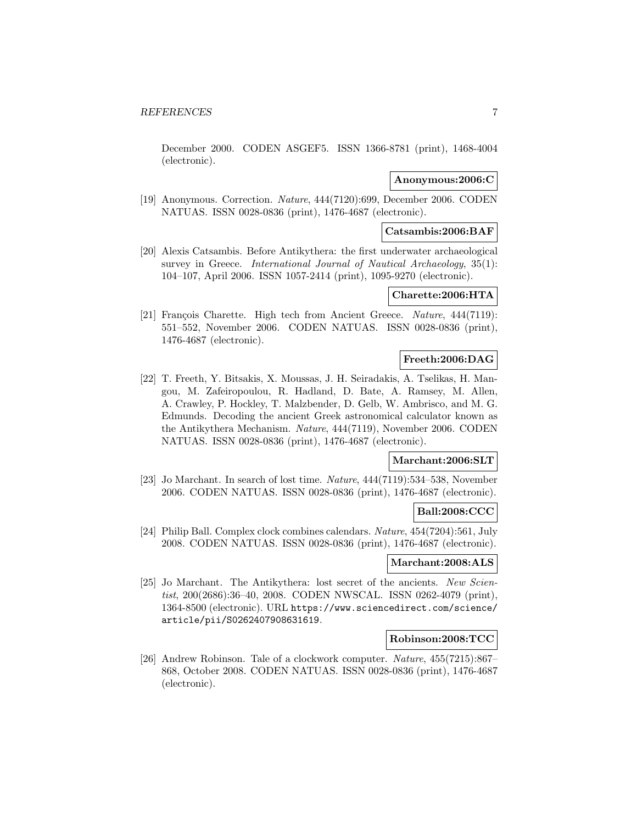December 2000. CODEN ASGEF5. ISSN 1366-8781 (print), 1468-4004 (electronic).

### **Anonymous:2006:C**

[19] Anonymous. Correction. Nature, 444(7120):699, December 2006. CODEN NATUAS. ISSN 0028-0836 (print), 1476-4687 (electronic).

#### **Catsambis:2006:BAF**

[20] Alexis Catsambis. Before Antikythera: the first underwater archaeological survey in Greece. International Journal of Nautical Archaeology, 35(1): 104–107, April 2006. ISSN 1057-2414 (print), 1095-9270 (electronic).

#### **Charette:2006:HTA**

[21] François Charette. High tech from Ancient Greece. Nature, 444(7119): 551–552, November 2006. CODEN NATUAS. ISSN 0028-0836 (print), 1476-4687 (electronic).

### **Freeth:2006:DAG**

[22] T. Freeth, Y. Bitsakis, X. Moussas, J. H. Seiradakis, A. Tselikas, H. Mangou, M. Zafeiropoulou, R. Hadland, D. Bate, A. Ramsey, M. Allen, A. Crawley, P. Hockley, T. Malzbender, D. Gelb, W. Ambrisco, and M. G. Edmunds. Decoding the ancient Greek astronomical calculator known as the Antikythera Mechanism. Nature, 444(7119), November 2006. CODEN NATUAS. ISSN 0028-0836 (print), 1476-4687 (electronic).

#### **Marchant:2006:SLT**

[23] Jo Marchant. In search of lost time. Nature, 444(7119):534–538, November 2006. CODEN NATUAS. ISSN 0028-0836 (print), 1476-4687 (electronic).

#### **Ball:2008:CCC**

[24] Philip Ball. Complex clock combines calendars. Nature, 454(7204):561, July 2008. CODEN NATUAS. ISSN 0028-0836 (print), 1476-4687 (electronic).

#### **Marchant:2008:ALS**

[25] Jo Marchant. The Antikythera: lost secret of the ancients. New Scientist, 200(2686):36–40, 2008. CODEN NWSCAL. ISSN 0262-4079 (print), 1364-8500 (electronic). URL https://www.sciencedirect.com/science/ article/pii/S0262407908631619.

#### **Robinson:2008:TCC**

[26] Andrew Robinson. Tale of a clockwork computer. Nature, 455(7215):867– 868, October 2008. CODEN NATUAS. ISSN 0028-0836 (print), 1476-4687 (electronic).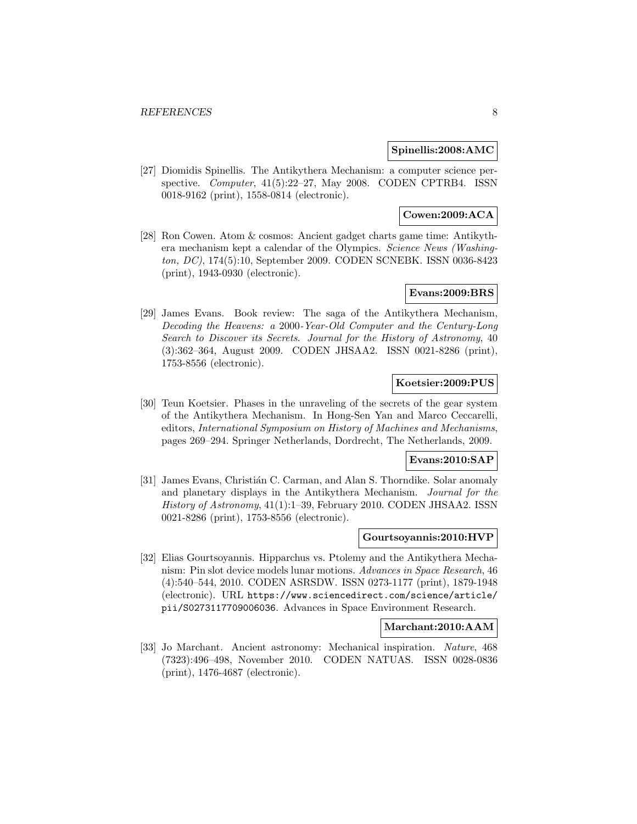### **Spinellis:2008:AMC**

[27] Diomidis Spinellis. The Antikythera Mechanism: a computer science perspective. Computer, 41(5):22-27, May 2008. CODEN CPTRB4. ISSN 0018-9162 (print), 1558-0814 (electronic).

### **Cowen:2009:ACA**

[28] Ron Cowen. Atom & cosmos: Ancient gadget charts game time: Antikythera mechanism kept a calendar of the Olympics. Science News (Washington, DC), 174(5):10, September 2009. CODEN SCNEBK. ISSN 0036-8423 (print), 1943-0930 (electronic).

### **Evans:2009:BRS**

[29] James Evans. Book review: The saga of the Antikythera Mechanism, Decoding the Heavens: a 2000-Year-Old Computer and the Century-Long Search to Discover its Secrets. Journal for the History of Astronomy, 40 (3):362–364, August 2009. CODEN JHSAA2. ISSN 0021-8286 (print), 1753-8556 (electronic).

### **Koetsier:2009:PUS**

[30] Teun Koetsier. Phases in the unraveling of the secrets of the gear system of the Antikythera Mechanism. In Hong-Sen Yan and Marco Ceccarelli, editors, International Symposium on History of Machines and Mechanisms, pages 269–294. Springer Netherlands, Dordrecht, The Netherlands, 2009.

### **Evans:2010:SAP**

[31] James Evans, Christián C. Carman, and Alan S. Thorndike. Solar anomaly and planetary displays in the Antikythera Mechanism. Journal for the History of Astronomy, 41(1):1–39, February 2010. CODEN JHSAA2. ISSN 0021-8286 (print), 1753-8556 (electronic).

#### **Gourtsoyannis:2010:HVP**

[32] Elias Gourtsoyannis. Hipparchus vs. Ptolemy and the Antikythera Mechanism: Pin slot device models lunar motions. Advances in Space Research, 46 (4):540–544, 2010. CODEN ASRSDW. ISSN 0273-1177 (print), 1879-1948 (electronic). URL https://www.sciencedirect.com/science/article/ pii/S0273117709006036. Advances in Space Environment Research.

### **Marchant:2010:AAM**

[33] Jo Marchant. Ancient astronomy: Mechanical inspiration. Nature, 468 (7323):496–498, November 2010. CODEN NATUAS. ISSN 0028-0836 (print), 1476-4687 (electronic).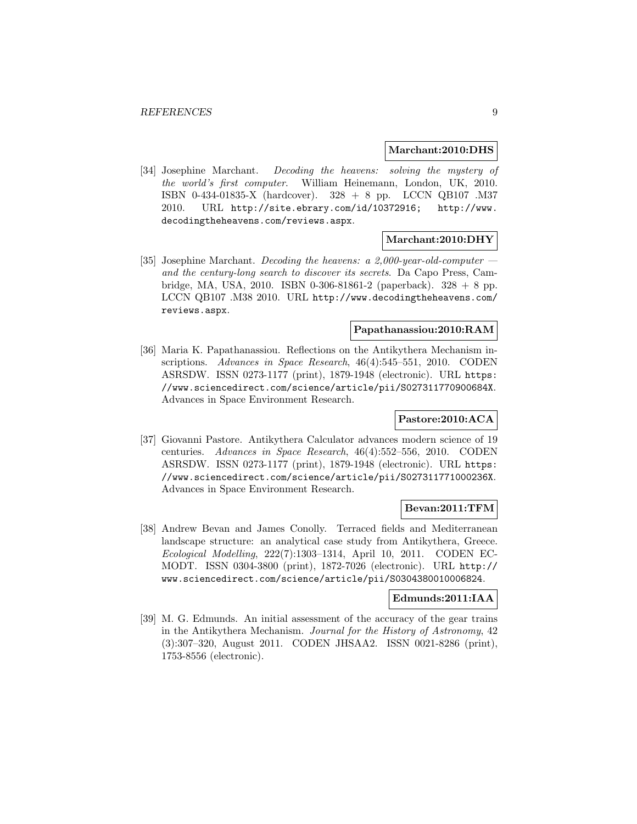**Marchant:2010:DHS**

[34] Josephine Marchant. Decoding the heavens: solving the mystery of the world's first computer. William Heinemann, London, UK, 2010. ISBN 0-434-01835-X (hardcover). 328 + 8 pp. LCCN QB107 .M37 2010. URL http://site.ebrary.com/id/10372916; http://www. decodingtheheavens.com/reviews.aspx.

### **Marchant:2010:DHY**

[35] Josephine Marchant. Decoding the heavens: a 2,000-year-old-computer  $$ and the century-long search to discover its secrets. Da Capo Press, Cambridge, MA, USA, 2010. ISBN 0-306-81861-2 (paperback).  $328 + 8$  pp. LCCN QB107 .M38 2010. URL http://www.decodingtheheavens.com/ reviews.aspx.

### **Papathanassiou:2010:RAM**

[36] Maria K. Papathanassiou. Reflections on the Antikythera Mechanism inscriptions. Advances in Space Research, 46(4):545–551, 2010. CODEN ASRSDW. ISSN 0273-1177 (print), 1879-1948 (electronic). URL https: //www.sciencedirect.com/science/article/pii/S027311770900684X. Advances in Space Environment Research.

### **Pastore:2010:ACA**

[37] Giovanni Pastore. Antikythera Calculator advances modern science of 19 centuries. Advances in Space Research, 46(4):552–556, 2010. CODEN ASRSDW. ISSN 0273-1177 (print), 1879-1948 (electronic). URL https: //www.sciencedirect.com/science/article/pii/S027311771000236X. Advances in Space Environment Research.

### **Bevan:2011:TFM**

[38] Andrew Bevan and James Conolly. Terraced fields and Mediterranean landscape structure: an analytical case study from Antikythera, Greece. Ecological Modelling, 222(7):1303–1314, April 10, 2011. CODEN EC-MODT. ISSN 0304-3800 (print), 1872-7026 (electronic). URL http:// www.sciencedirect.com/science/article/pii/S0304380010006824.

#### **Edmunds:2011:IAA**

[39] M. G. Edmunds. An initial assessment of the accuracy of the gear trains in the Antikythera Mechanism. Journal for the History of Astronomy, 42 (3):307–320, August 2011. CODEN JHSAA2. ISSN 0021-8286 (print), 1753-8556 (electronic).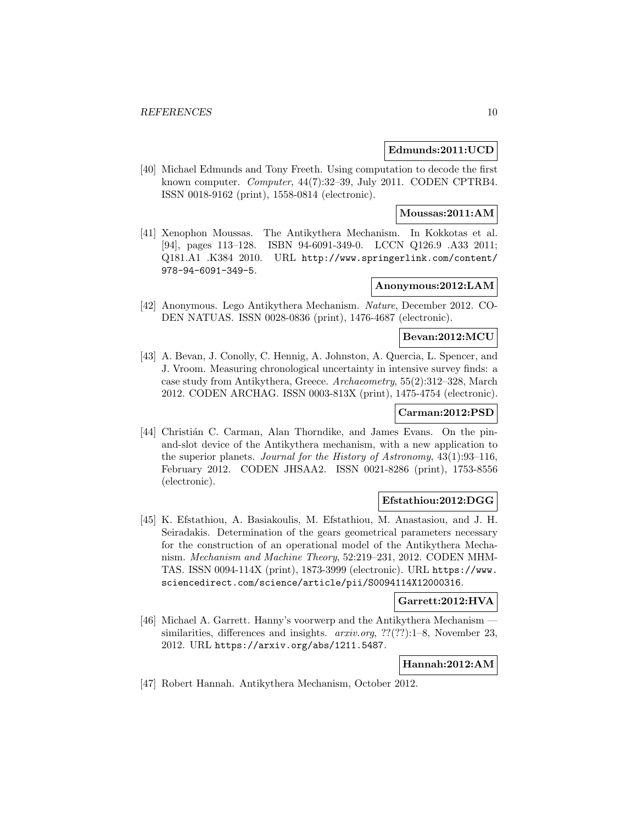### **Edmunds:2011:UCD**

[40] Michael Edmunds and Tony Freeth. Using computation to decode the first known computer. Computer, 44(7):32-39, July 2011. CODEN CPTRB4. ISSN 0018-9162 (print), 1558-0814 (electronic).

#### **Moussas:2011:AM**

[41] Xenophon Moussas. The Antikythera Mechanism. In Kokkotas et al. [94], pages 113–128. ISBN 94-6091-349-0. LCCN Q126.9 .A33 2011; Q181.A1 .K384 2010. URL http://www.springerlink.com/content/ 978-94-6091-349-5.

### **Anonymous:2012:LAM**

[42] Anonymous. Lego Antikythera Mechanism. Nature, December 2012. CO-DEN NATUAS. ISSN 0028-0836 (print), 1476-4687 (electronic).

### **Bevan:2012:MCU**

[43] A. Bevan, J. Conolly, C. Hennig, A. Johnston, A. Quercia, L. Spencer, and J. Vroom. Measuring chronological uncertainty in intensive survey finds: a case study from Antikythera, Greece. Archaeometry, 55(2):312–328, March 2012. CODEN ARCHAG. ISSN 0003-813X (print), 1475-4754 (electronic).

### **Carman:2012:PSD**

[44] Christián C. Carman, Alan Thorndike, and James Evans. On the pinand-slot device of the Antikythera mechanism, with a new application to the superior planets. Journal for the History of Astronomy, 43(1):93–116, February 2012. CODEN JHSAA2. ISSN 0021-8286 (print), 1753-8556 (electronic).

### **Efstathiou:2012:DGG**

[45] K. Efstathiou, A. Basiakoulis, M. Efstathiou, M. Anastasiou, and J. H. Seiradakis. Determination of the gears geometrical parameters necessary for the construction of an operational model of the Antikythera Mechanism. Mechanism and Machine Theory, 52:219–231, 2012. CODEN MHM-TAS. ISSN 0094-114X (print), 1873-3999 (electronic). URL https://www. sciencedirect.com/science/article/pii/S0094114X12000316.

### **Garrett:2012:HVA**

[46] Michael A. Garrett. Hanny's voorwerp and the Antikythera Mechanism similarities, differences and insights. *arxiv.org*,  $??(??)$ :1–8, November 23, 2012. URL https://arxiv.org/abs/1211.5487.

#### **Hannah:2012:AM**

[47] Robert Hannah. Antikythera Mechanism, October 2012.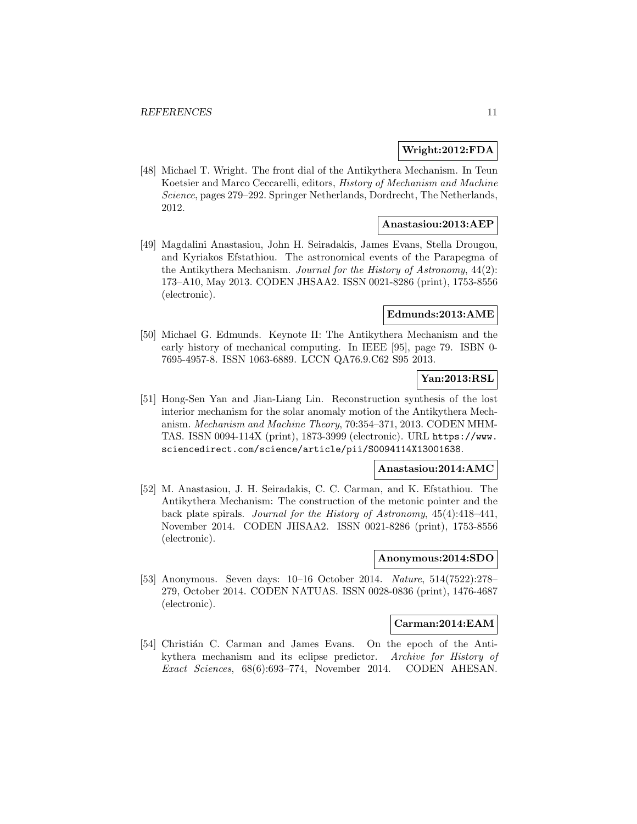### **Wright:2012:FDA**

[48] Michael T. Wright. The front dial of the Antikythera Mechanism. In Teun Koetsier and Marco Ceccarelli, editors, History of Mechanism and Machine Science, pages 279–292. Springer Netherlands, Dordrecht, The Netherlands, 2012.

### **Anastasiou:2013:AEP**

[49] Magdalini Anastasiou, John H. Seiradakis, James Evans, Stella Drougou, and Kyriakos Efstathiou. The astronomical events of the Parapegma of the Antikythera Mechanism. Journal for the History of Astronomy, 44(2): 173–A10, May 2013. CODEN JHSAA2. ISSN 0021-8286 (print), 1753-8556 (electronic).

### **Edmunds:2013:AME**

[50] Michael G. Edmunds. Keynote II: The Antikythera Mechanism and the early history of mechanical computing. In IEEE [95], page 79. ISBN 0- 7695-4957-8. ISSN 1063-6889. LCCN QA76.9.C62 S95 2013.

### **Yan:2013:RSL**

[51] Hong-Sen Yan and Jian-Liang Lin. Reconstruction synthesis of the lost interior mechanism for the solar anomaly motion of the Antikythera Mechanism. Mechanism and Machine Theory, 70:354–371, 2013. CODEN MHM-TAS. ISSN 0094-114X (print), 1873-3999 (electronic). URL https://www. sciencedirect.com/science/article/pii/S0094114X13001638.

### **Anastasiou:2014:AMC**

[52] M. Anastasiou, J. H. Seiradakis, C. C. Carman, and K. Efstathiou. The Antikythera Mechanism: The construction of the metonic pointer and the back plate spirals. Journal for the History of Astronomy, 45(4):418–441, November 2014. CODEN JHSAA2. ISSN 0021-8286 (print), 1753-8556 (electronic).

#### **Anonymous:2014:SDO**

[53] Anonymous. Seven days: 10–16 October 2014. Nature, 514(7522):278– 279, October 2014. CODEN NATUAS. ISSN 0028-0836 (print), 1476-4687 (electronic).

#### **Carman:2014:EAM**

[54] Christián C. Carman and James Evans. On the epoch of the Antikythera mechanism and its eclipse predictor. Archive for History of Exact Sciences, 68(6):693–774, November 2014. CODEN AHESAN.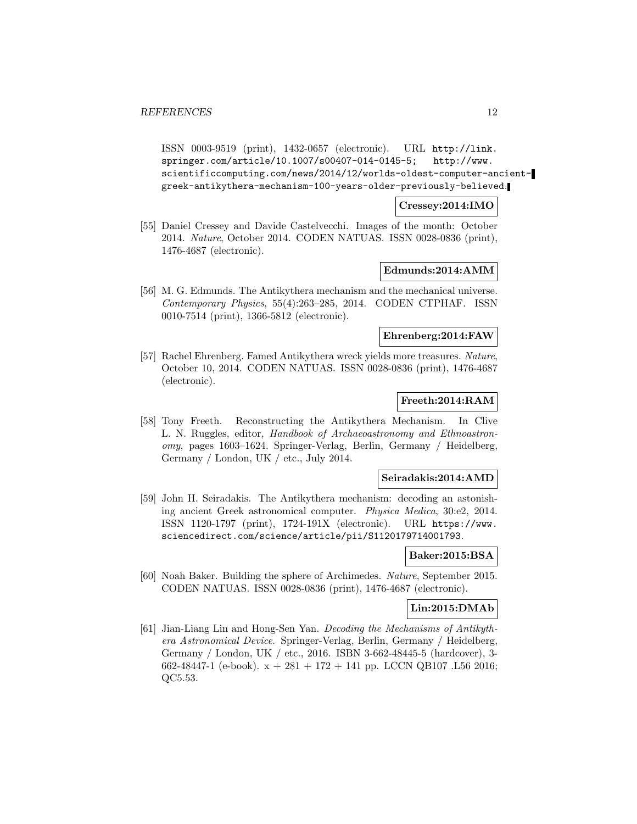ISSN 0003-9519 (print), 1432-0657 (electronic). URL http://link. springer.com/article/10.1007/s00407-014-0145-5; http://www. scientificcomputing.com/news/2014/12/worlds-oldest-computer-ancientgreek-antikythera-mechanism-100-years-older-previously-believed.

### **Cressey:2014:IMO**

[55] Daniel Cressey and Davide Castelvecchi. Images of the month: October 2014. Nature, October 2014. CODEN NATUAS. ISSN 0028-0836 (print), 1476-4687 (electronic).

#### **Edmunds:2014:AMM**

[56] M. G. Edmunds. The Antikythera mechanism and the mechanical universe. Contemporary Physics, 55(4):263–285, 2014. CODEN CTPHAF. ISSN 0010-7514 (print), 1366-5812 (electronic).

#### **Ehrenberg:2014:FAW**

[57] Rachel Ehrenberg. Famed Antikythera wreck yields more treasures. Nature, October 10, 2014. CODEN NATUAS. ISSN 0028-0836 (print), 1476-4687 (electronic).

### **Freeth:2014:RAM**

[58] Tony Freeth. Reconstructing the Antikythera Mechanism. In Clive L. N. Ruggles, editor, Handbook of Archaeoastronomy and Ethnoastronomy, pages 1603–1624. Springer-Verlag, Berlin, Germany / Heidelberg, Germany / London, UK / etc., July 2014.

### **Seiradakis:2014:AMD**

[59] John H. Seiradakis. The Antikythera mechanism: decoding an astonishing ancient Greek astronomical computer. Physica Medica, 30:e2, 2014. ISSN 1120-1797 (print), 1724-191X (electronic). URL https://www. sciencedirect.com/science/article/pii/S1120179714001793.

#### **Baker:2015:BSA**

[60] Noah Baker. Building the sphere of Archimedes. Nature, September 2015. CODEN NATUAS. ISSN 0028-0836 (print), 1476-4687 (electronic).

### **Lin:2015:DMAb**

[61] Jian-Liang Lin and Hong-Sen Yan. Decoding the Mechanisms of Antikythera Astronomical Device. Springer-Verlag, Berlin, Germany / Heidelberg, Germany / London, UK / etc., 2016. ISBN 3-662-48445-5 (hardcover), 3- 662-48447-1 (e-book).  $x + 281 + 172 + 141$  pp. LCCN QB107 .L56 2016; QC5.53.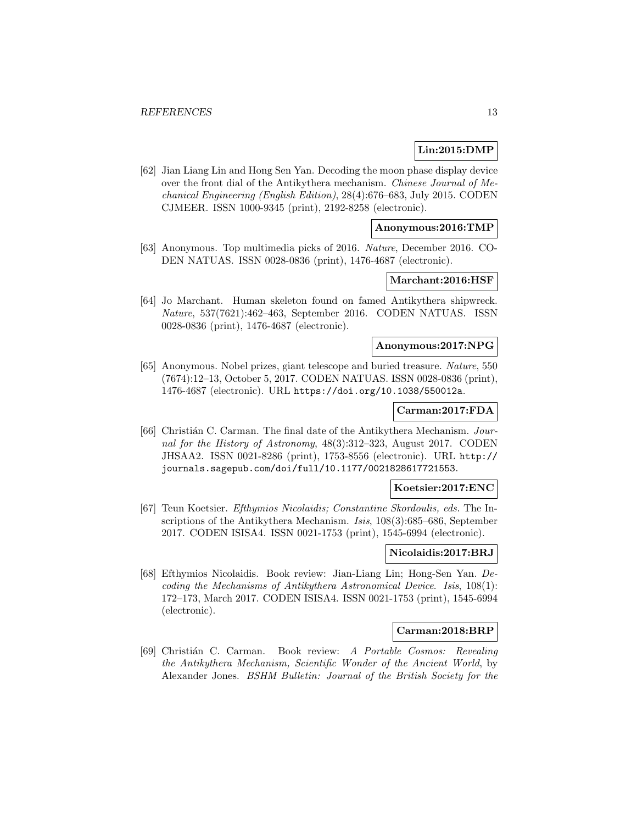### **Lin:2015:DMP**

[62] Jian Liang Lin and Hong Sen Yan. Decoding the moon phase display device over the front dial of the Antikythera mechanism. Chinese Journal of Mechanical Engineering (English Edition), 28(4):676–683, July 2015. CODEN CJMEER. ISSN 1000-9345 (print), 2192-8258 (electronic).

### **Anonymous:2016:TMP**

[63] Anonymous. Top multimedia picks of 2016. Nature, December 2016. CO-DEN NATUAS. ISSN 0028-0836 (print), 1476-4687 (electronic).

#### **Marchant:2016:HSF**

[64] Jo Marchant. Human skeleton found on famed Antikythera shipwreck. Nature, 537(7621):462–463, September 2016. CODEN NATUAS. ISSN 0028-0836 (print), 1476-4687 (electronic).

#### **Anonymous:2017:NPG**

[65] Anonymous. Nobel prizes, giant telescope and buried treasure. Nature, 550 (7674):12–13, October 5, 2017. CODEN NATUAS. ISSN 0028-0836 (print), 1476-4687 (electronic). URL https://doi.org/10.1038/550012a.

### **Carman:2017:FDA**

[66] Christián C. Carman. The final date of the Antikythera Mechanism. Journal for the History of Astronomy, 48(3):312–323, August 2017. CODEN JHSAA2. ISSN 0021-8286 (print), 1753-8556 (electronic). URL http:// journals.sagepub.com/doi/full/10.1177/0021828617721553.

#### **Koetsier:2017:ENC**

[67] Teun Koetsier. Efthymios Nicolaidis; Constantine Skordoulis, eds. The Inscriptions of the Antikythera Mechanism. *Isis*, 108(3):685–686, September 2017. CODEN ISISA4. ISSN 0021-1753 (print), 1545-6994 (electronic).

### **Nicolaidis:2017:BRJ**

[68] Efthymios Nicolaidis. Book review: Jian-Liang Lin; Hong-Sen Yan. Decoding the Mechanisms of Antikythera Astronomical Device. Isis, 108(1): 172–173, March 2017. CODEN ISISA4. ISSN 0021-1753 (print), 1545-6994 (electronic).

#### **Carman:2018:BRP**

[69] Christi´an C. Carman. Book review: A Portable Cosmos: Revealing the Antikythera Mechanism, Scientific Wonder of the Ancient World, by Alexander Jones. BSHM Bulletin: Journal of the British Society for the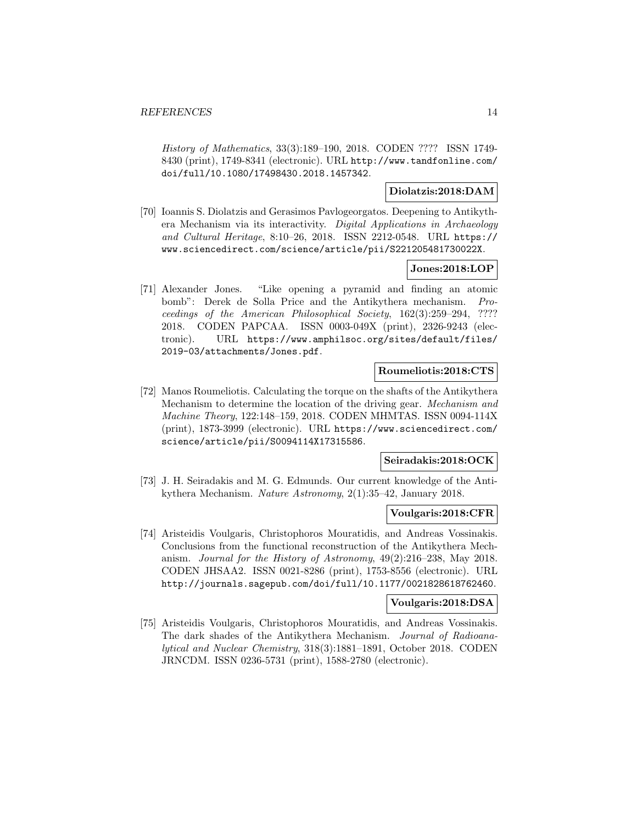History of Mathematics, 33(3):189–190, 2018. CODEN ???? ISSN 1749- 8430 (print), 1749-8341 (electronic). URL http://www.tandfonline.com/ doi/full/10.1080/17498430.2018.1457342.

### **Diolatzis:2018:DAM**

[70] Ioannis S. Diolatzis and Gerasimos Pavlogeorgatos. Deepening to Antikythera Mechanism via its interactivity. Digital Applications in Archaeology and Cultural Heritage, 8:10–26, 2018. ISSN 2212-0548. URL https:// www.sciencedirect.com/science/article/pii/S221205481730022X.

### **Jones:2018:LOP**

[71] Alexander Jones. "Like opening a pyramid and finding an atomic bomb": Derek de Solla Price and the Antikythera mechanism. Proceedings of the American Philosophical Society, 162(3):259–294, ???? 2018. CODEN PAPCAA. ISSN 0003-049X (print), 2326-9243 (electronic). URL https://www.amphilsoc.org/sites/default/files/ 2019-03/attachments/Jones.pdf.

### **Roumeliotis:2018:CTS**

[72] Manos Roumeliotis. Calculating the torque on the shafts of the Antikythera Mechanism to determine the location of the driving gear. Mechanism and Machine Theory, 122:148–159, 2018. CODEN MHMTAS. ISSN 0094-114X (print), 1873-3999 (electronic). URL https://www.sciencedirect.com/ science/article/pii/S0094114X17315586.

#### **Seiradakis:2018:OCK**

[73] J. H. Seiradakis and M. G. Edmunds. Our current knowledge of the Antikythera Mechanism. Nature Astronomy, 2(1):35–42, January 2018.

### **Voulgaris:2018:CFR**

[74] Aristeidis Voulgaris, Christophoros Mouratidis, and Andreas Vossinakis. Conclusions from the functional reconstruction of the Antikythera Mechanism. Journal for the History of Astronomy, 49(2):216–238, May 2018. CODEN JHSAA2. ISSN 0021-8286 (print), 1753-8556 (electronic). URL http://journals.sagepub.com/doi/full/10.1177/0021828618762460.

#### **Voulgaris:2018:DSA**

[75] Aristeidis Voulgaris, Christophoros Mouratidis, and Andreas Vossinakis. The dark shades of the Antikythera Mechanism. Journal of Radioanalytical and Nuclear Chemistry, 318(3):1881–1891, October 2018. CODEN JRNCDM. ISSN 0236-5731 (print), 1588-2780 (electronic).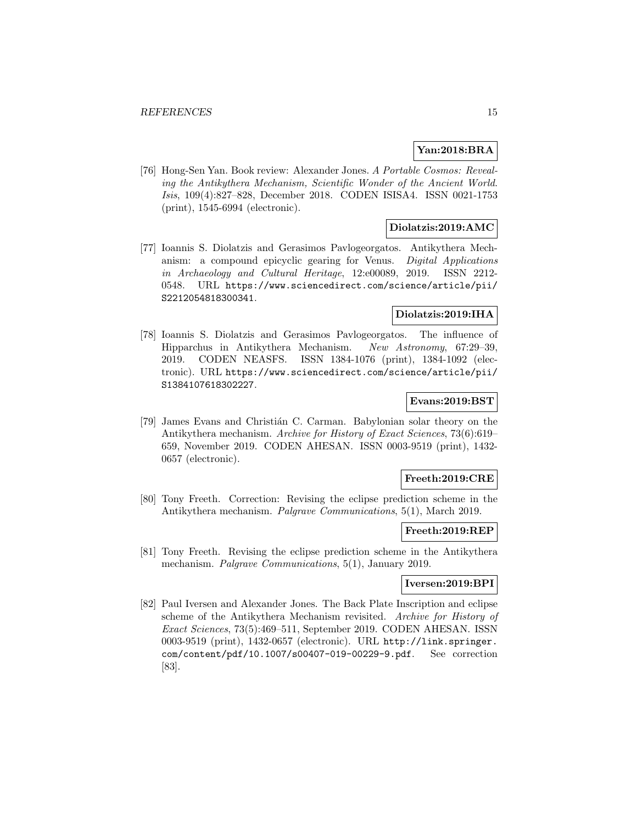### **Yan:2018:BRA**

[76] Hong-Sen Yan. Book review: Alexander Jones. A Portable Cosmos: Revealing the Antikythera Mechanism, Scientific Wonder of the Ancient World. Isis, 109(4):827–828, December 2018. CODEN ISISA4. ISSN 0021-1753 (print), 1545-6994 (electronic).

### **Diolatzis:2019:AMC**

[77] Ioannis S. Diolatzis and Gerasimos Pavlogeorgatos. Antikythera Mechanism: a compound epicyclic gearing for Venus. Digital Applications in Archaeology and Cultural Heritage, 12:e00089, 2019. ISSN 2212- 0548. URL https://www.sciencedirect.com/science/article/pii/ S2212054818300341.

### **Diolatzis:2019:IHA**

[78] Ioannis S. Diolatzis and Gerasimos Pavlogeorgatos. The influence of Hipparchus in Antikythera Mechanism. New Astronomy, 67:29–39, 2019. CODEN NEASFS. ISSN 1384-1076 (print), 1384-1092 (electronic). URL https://www.sciencedirect.com/science/article/pii/ S1384107618302227.

### **Evans:2019:BST**

[79] James Evans and Christián C. Carman. Babylonian solar theory on the Antikythera mechanism. Archive for History of Exact Sciences, 73(6):619– 659, November 2019. CODEN AHESAN. ISSN 0003-9519 (print), 1432- 0657 (electronic).

### **Freeth:2019:CRE**

[80] Tony Freeth. Correction: Revising the eclipse prediction scheme in the Antikythera mechanism. Palgrave Communications, 5(1), March 2019.

### **Freeth:2019:REP**

[81] Tony Freeth. Revising the eclipse prediction scheme in the Antikythera mechanism. *Palgrave Communications*, 5(1), January 2019.

### **Iversen:2019:BPI**

[82] Paul Iversen and Alexander Jones. The Back Plate Inscription and eclipse scheme of the Antikythera Mechanism revisited. Archive for History of Exact Sciences, 73(5):469–511, September 2019. CODEN AHESAN. ISSN 0003-9519 (print), 1432-0657 (electronic). URL http://link.springer. com/content/pdf/10.1007/s00407-019-00229-9.pdf. See correction [83].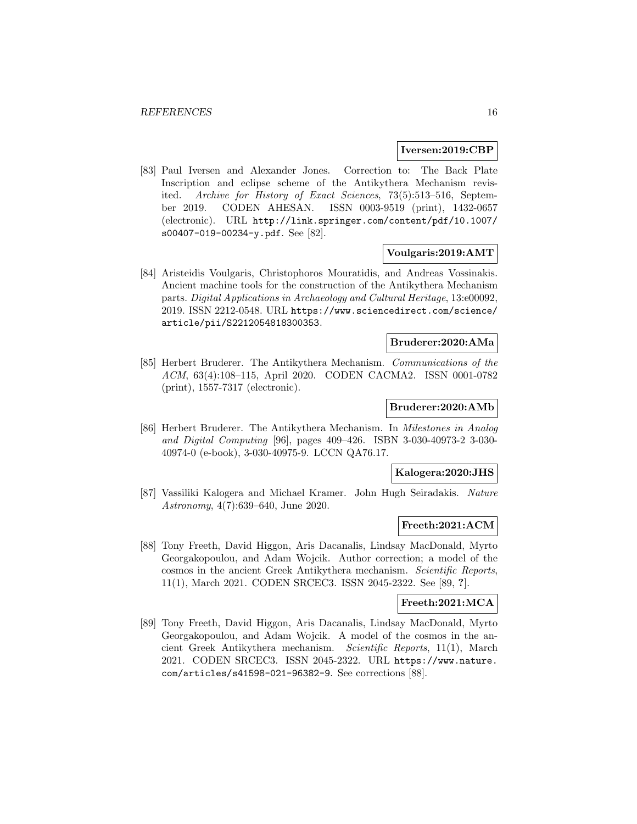#### **Iversen:2019:CBP**

[83] Paul Iversen and Alexander Jones. Correction to: The Back Plate Inscription and eclipse scheme of the Antikythera Mechanism revisited. Archive for History of Exact Sciences, 73(5):513–516, September 2019. CODEN AHESAN. ISSN 0003-9519 (print), 1432-0657 (electronic). URL http://link.springer.com/content/pdf/10.1007/ s00407-019-00234-y.pdf. See [82].

#### **Voulgaris:2019:AMT**

[84] Aristeidis Voulgaris, Christophoros Mouratidis, and Andreas Vossinakis. Ancient machine tools for the construction of the Antikythera Mechanism parts. Digital Applications in Archaeology and Cultural Heritage, 13:e00092, 2019. ISSN 2212-0548. URL https://www.sciencedirect.com/science/ article/pii/S2212054818300353.

### **Bruderer:2020:AMa**

[85] Herbert Bruderer. The Antikythera Mechanism. Communications of the ACM, 63(4):108–115, April 2020. CODEN CACMA2. ISSN 0001-0782 (print), 1557-7317 (electronic).

### **Bruderer:2020:AMb**

[86] Herbert Bruderer. The Antikythera Mechanism. In Milestones in Analog and Digital Computing [96], pages 409–426. ISBN 3-030-40973-2 3-030- 40974-0 (e-book), 3-030-40975-9. LCCN QA76.17.

### **Kalogera:2020:JHS**

[87] Vassiliki Kalogera and Michael Kramer. John Hugh Seiradakis. Nature Astronomy, 4(7):639–640, June 2020.

### **Freeth:2021:ACM**

[88] Tony Freeth, David Higgon, Aris Dacanalis, Lindsay MacDonald, Myrto Georgakopoulou, and Adam Wojcik. Author correction; a model of the cosmos in the ancient Greek Antikythera mechanism. Scientific Reports, 11(1), March 2021. CODEN SRCEC3. ISSN 2045-2322. See [89, **?**].

#### **Freeth:2021:MCA**

[89] Tony Freeth, David Higgon, Aris Dacanalis, Lindsay MacDonald, Myrto Georgakopoulou, and Adam Wojcik. A model of the cosmos in the ancient Greek Antikythera mechanism. Scientific Reports, 11(1), March 2021. CODEN SRCEC3. ISSN 2045-2322. URL https://www.nature. com/articles/s41598-021-96382-9. See corrections [88].